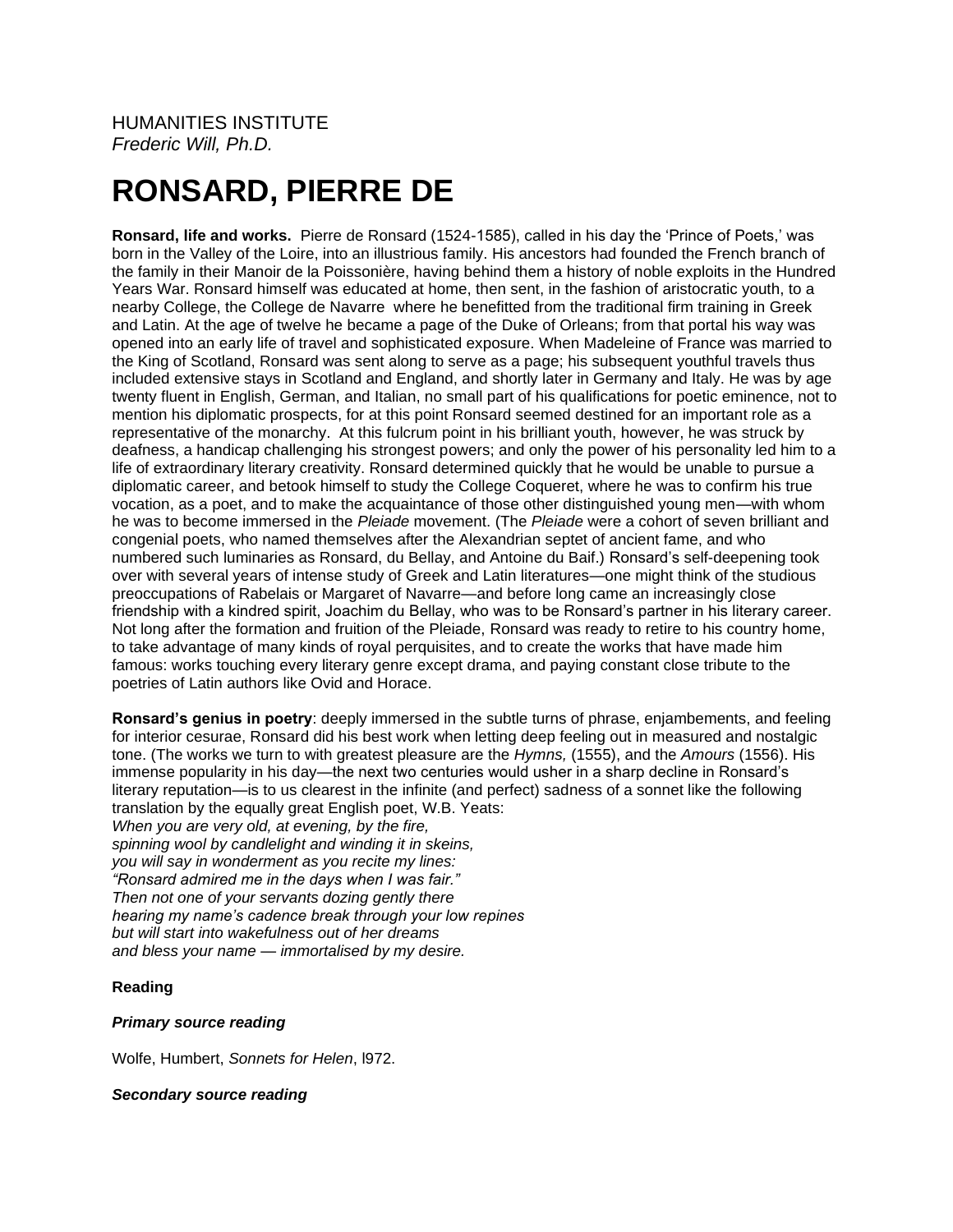# **RONSARD, PIERRE DE**

**Ronsard, life and works.** Pierre de Ronsard (1524-1585), called in his day the 'Prince of Poets,' was born in the Valley of the Loire, into an illustrious family. His ancestors had founded the French branch of the family in their Manoir de la Poissonière, having behind them a history of noble exploits in the Hundred Years War. Ronsard himself was educated at home, then sent, in the fashion of aristocratic youth, to a nearby College, the College de Navarre where he benefitted from the traditional firm training in Greek and Latin. At the age of twelve he became a page of the Duke of Orleans; from that portal his way was opened into an early life of travel and sophisticated exposure. When Madeleine of France was married to the King of Scotland, Ronsard was sent along to serve as a page; his subsequent youthful travels thus included extensive stays in Scotland and England, and shortly later in Germany and Italy. He was by age twenty fluent in English, German, and Italian, no small part of his qualifications for poetic eminence, not to mention his diplomatic prospects, for at this point Ronsard seemed destined for an important role as a representative of the monarchy. At this fulcrum point in his brilliant youth, however, he was struck by deafness, a handicap challenging his strongest powers; and only the power of his personality led him to a life of extraordinary literary creativity. Ronsard determined quickly that he would be unable to pursue a diplomatic career, and betook himself to study the College Coqueret, where he was to confirm his true vocation, as a poet, and to make the acquaintance of those other distinguished young men—with whom he was to become immersed in the *Pleiade* movement. (The *Pleiade* were a cohort of seven brilliant and congenial poets, who named themselves after the Alexandrian septet of ancient fame, and who numbered such luminaries as Ronsard, du Bellay, and Antoine du Baif.) Ronsard's self-deepening took over with several years of intense study of Greek and Latin literatures—one might think of the studious preoccupations of Rabelais or Margaret of Navarre—and before long came an increasingly close friendship with a kindred spirit, Joachim du Bellay, who was to be Ronsard's partner in his literary career. Not long after the formation and fruition of the Pleiade, Ronsard was ready to retire to his country home, to take advantage of many kinds of royal perquisites, and to create the works that have made him famous: works touching every literary genre except drama, and paying constant close tribute to the poetries of Latin authors like Ovid and Horace.

**Ronsard's genius in poetry**: deeply immersed in the subtle turns of phrase, enjambements, and feeling for interior cesurae, Ronsard did his best work when letting deep feeling out in measured and nostalgic tone. (The works we turn to with greatest pleasure are the *Hymns,* (1555), and the *Amours* (1556). His immense popularity in his day—the next two centuries would usher in a sharp decline in Ronsard's literary reputation—is to us clearest in the infinite (and perfect) sadness of a sonnet like the following translation by the equally great English poet, W.B. Yeats: *When you are very old, at evening, by the fire, spinning wool by candlelight and winding it in skeins, you will say in wonderment as you recite my lines: "Ronsard admired me in the days when I was fair." Then not one of your servants dozing gently there hearing my name's cadence break through your low repines but will start into wakefulness out of her dreams and bless your name — immortalised by my desire.*

## **Reading**

#### *Primary source reading*

Wolfe, Humbert, *Sonnets for Helen*, l972.

#### *Secondary source reading*